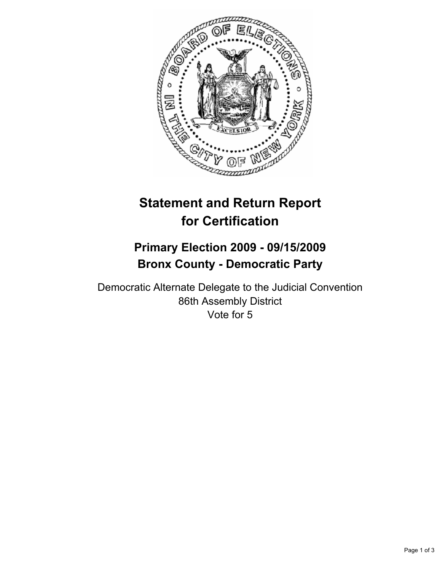

# **Statement and Return Report for Certification**

## **Primary Election 2009 - 09/15/2009 Bronx County - Democratic Party**

Democratic Alternate Delegate to the Judicial Convention 86th Assembly District Vote for 5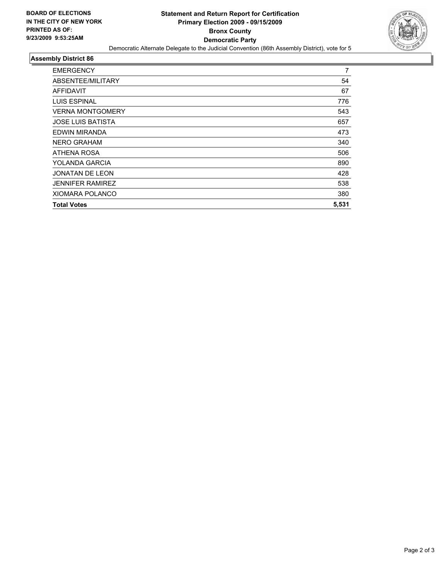

#### **Assembly District 86**

| <b>EMERGENCY</b>         | 7     |
|--------------------------|-------|
| ABSENTEE/MILITARY        | 54    |
| AFFIDAVIT                | 67    |
| <b>LUIS ESPINAL</b>      | 776   |
| <b>VERNA MONTGOMERY</b>  | 543   |
| <b>JOSE LUIS BATISTA</b> | 657   |
| EDWIN MIRANDA            | 473   |
| <b>NERO GRAHAM</b>       | 340   |
| ATHENA ROSA              | 506   |
| YOLANDA GARCIA           | 890   |
| <b>JONATAN DE LEON</b>   | 428   |
| <b>JENNIFER RAMIREZ</b>  | 538   |
| <b>XIOMARA POLANCO</b>   | 380   |
| <b>Total Votes</b>       | 5,531 |